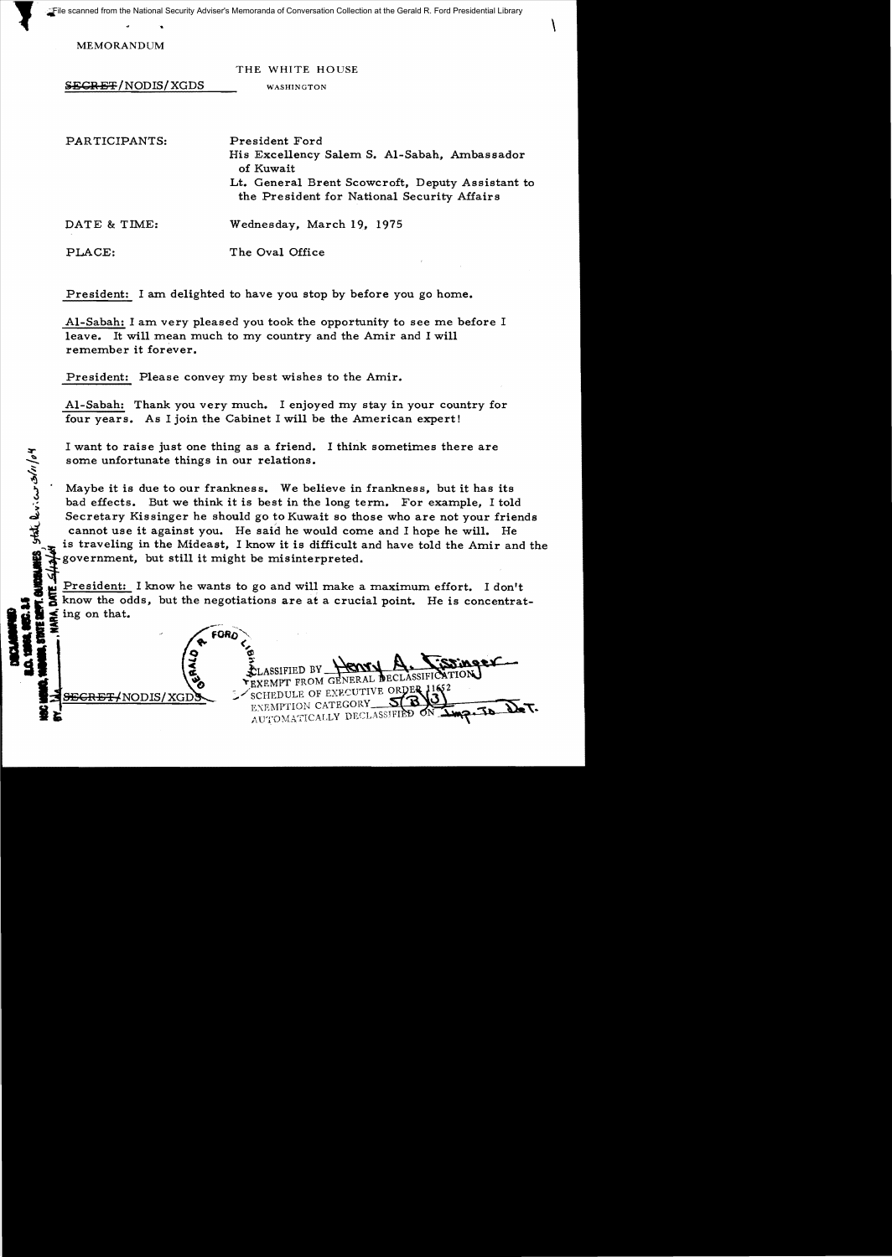File scanned from the National Security Adviser's Memoranda of Conversation Collection at the Gerald R. Ford Presidential Library File scanned from the National Security Adviser's Memoranda of Conversation Collection at the Gerald R. Ford Presidential Library

MEMORANDUM

~

**FT. GUIDELANES** 

| <b>SECRET/NODIS/XGDS</b> | THE WHITE HOUSE<br>WASHINGTON                                                                                                                                                  |
|--------------------------|--------------------------------------------------------------------------------------------------------------------------------------------------------------------------------|
| PARTICIPANTS:            | President Ford<br>His Excellency Salem S. Al-Sabah, Ambassador<br>of Kuwait<br>Lt. General Brent Scowcroft, Deputy Assistant to<br>the President for National Security Affairs |
| DATE & TIME:             | Wednesday, March 19, 1975                                                                                                                                                      |
| PLACE:                   | The Oval Office                                                                                                                                                                |

President: I am delighted to have you stop by before you go home.

AI-Sabah: I am very pleased you took the opportunity to see me before I leave. It will mean much to my country and the Amir and I will remember it forever.

President: Please convey my best wishes to the Amir.

AI-Sabah: Thank you very much. I enjoyed my stay in your country for four years. As I join the Cabinet I will be the American expert!

I want to raise just one thing as a friend. I think sometimes there are some unfortunate things in our relations.

Maybe it is due to our frankness. We believe in frankness, but it has its bad effects. But we think it is best in the long term. For example, I told Secretary Kissinger he should go to Kuwait so those who are not your friends cannot use it against you. He said he would come and I hope he will. He is traveling in the Mideast. I know it is difficult and have told the Amir and the government, but still it might be misinterpreted.

President: I know he wants to go and will make a maximum effort. I don't  $\frac{1}{2}$  E know the odds, but the negotiations are at a crucial point. He is concentrat  $\frac{1}{2}$  ing on that.

**folio** ing on that.<br> **folio**  $\left(\frac{9}{5}\right)$  **for**  $\left(\frac{9}{5}\right)$  **for**  $\left(\frac{9}{5}\right)$   $\left(\frac{9}{5}\right)$  **for**  $\left(\frac{9}{5}\right)$   $\left(\frac{9}{5}\right)$  **for**  $\left(\frac{9}{5}\right)$   $\left(\frac{9}{5}\right)$  **for**  $\left(\frac{9}{5}\right)$   $\left(\frac{9}{5}\right)$  **for**  $\left(\frac{9}{5}\right)$   $\$ E ELASSIFIED BY HENRY A LOCAL SEGRET (NODIS/XGDS )

ANODIS/XGD - SCHEDULE OF EXECUTIVE OR AUTOMATION CATEGORY - SINGLETION CATEGORY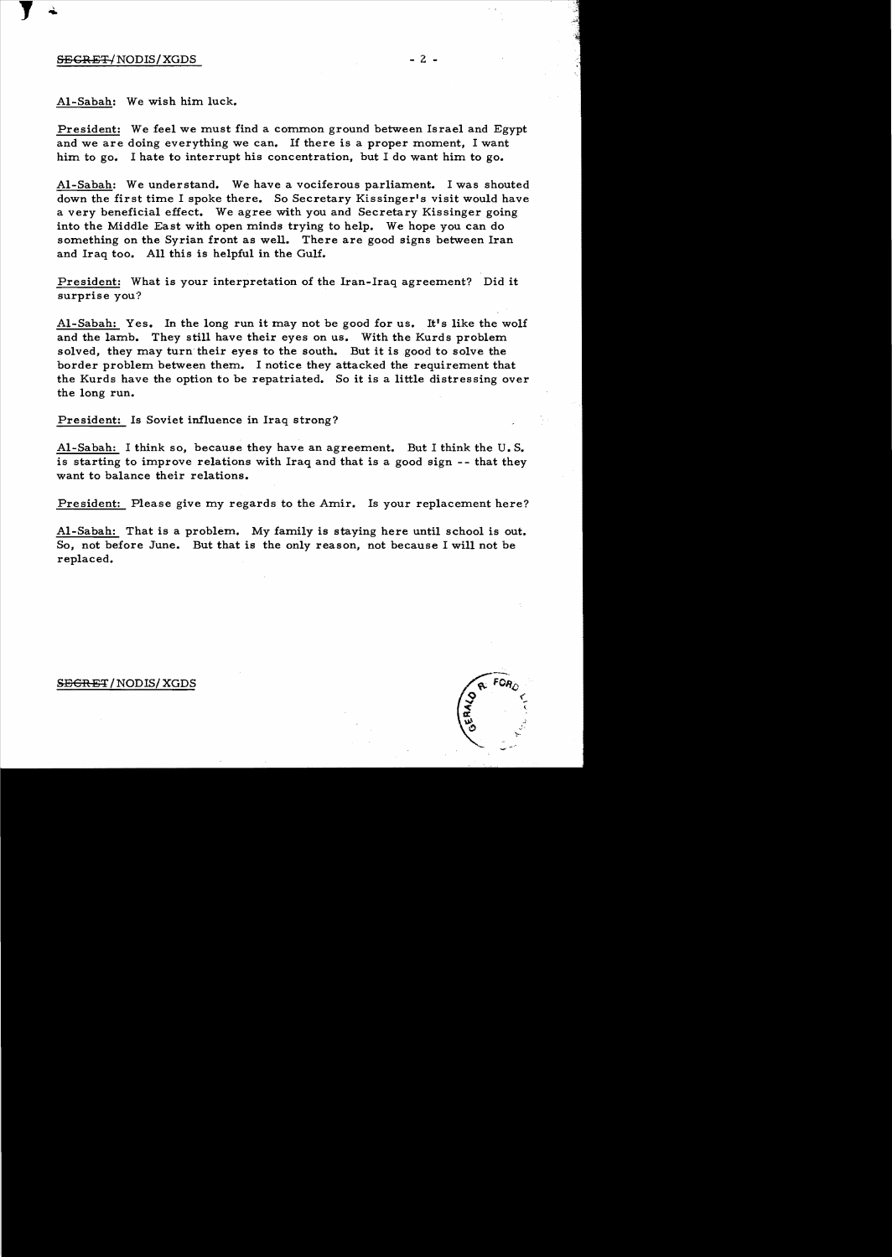## $SEGREF/NODIS/XGDS$   $2 -$

...,

J

AI-Sabah: We wish him luck.

President: We feel we must find a common ground between Israel and Egypt and we are doing everything we can. If there is a proper moment, I want him to go. I hate to interrupt his concentration, but I do want him to go.

AI-Sabah: We understand. We have a vociferous parliament. I was shouted down the first time I spoke there. So Secretary Kissinger's visit would have a very beneficial effect. We agree with you and Secretary Kissinger going into the Middle East with open minds trying to help. We hope you can do something on the Syrian front as well. There are good signs between Iran and Iraq too. All this is helpful in the Gulf.

President: What is your interpretation of the Iran-Iraq agreement? Did it surprise you?

Al-Sabah: Yes. In the long run it may not be good for us. It's like the wolf and the lamb. They still have their eyes on us. With the Kurds problem solved, they may turn their eyes to the south. But it is good to solve the border problem between them. I notice they attacked the requirement that the Kurds have the option to be repatriated. So it is a little distressing over the long run.

President: Is Soviet influence in Iraq strong?

AI-Sabah: I think so, because they have an agreement. But I think the U. S. is starting to improve relations with Iraq and that is a good sign - - that they want to balance their relations.

President: Please give my regards to the Amir. Is your replacement here?

AI-Sabah: That is a problem. My family is staying here until school is out. So, not before June. But that is the only reason, not because I will not be replaced.

## SEGRET/NODIS/XGDS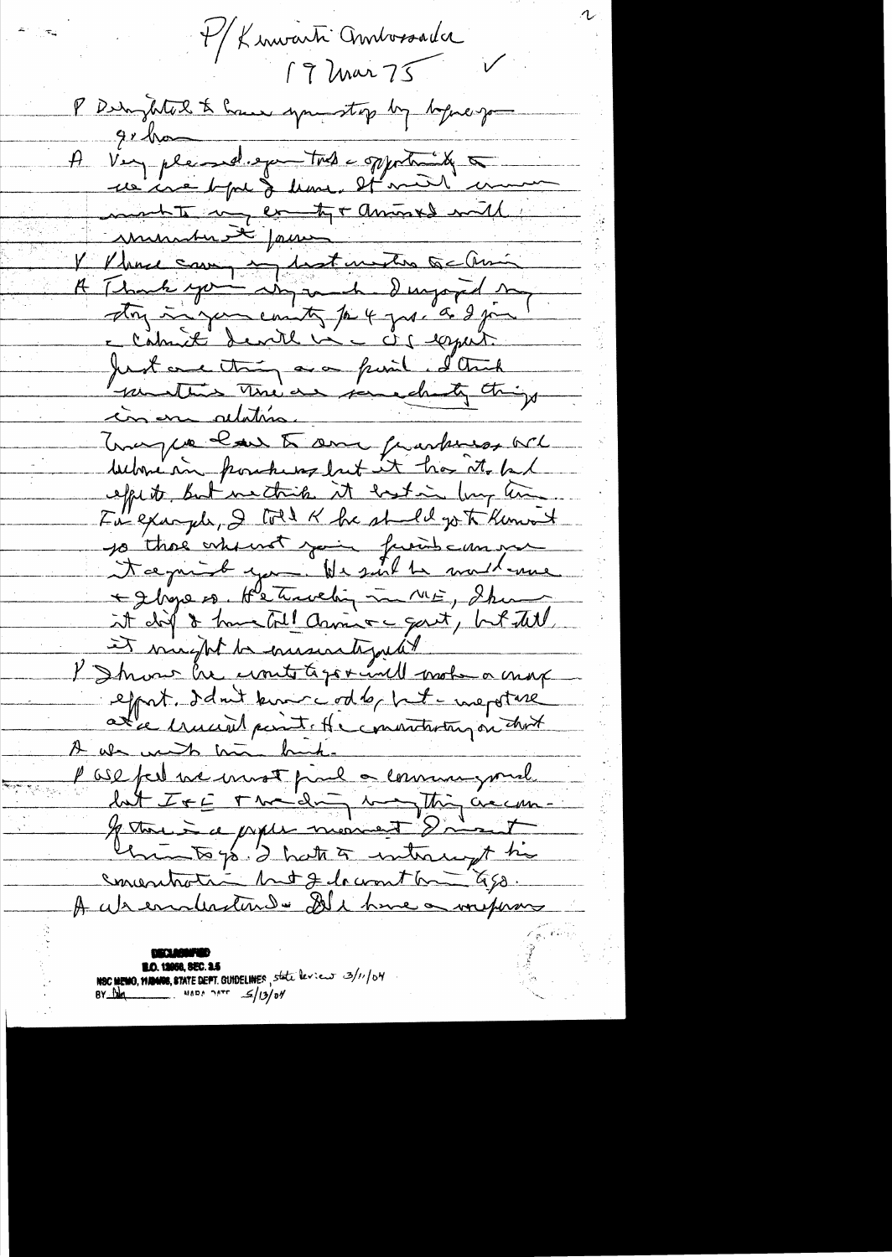M/ Linwarti Ambossada 19 Mar 75 P Derryhte & Cause springtop by before good  $9.10 -$ A Very planed expectate of portally on unique bype & leave. It med'une mente no ex tyr anives mil V V house caux instantantes Gallan A Thank you anywh duryard my ston in your country to 4 year a 2 jan e Calmité devite vi c à capait Just and thing are funit I think parathes The as peredity things cas en adation. Tony we have to some frankiss och below in postured but it has it but effects, but mechicle it bestin long time. For example, I told & he sheld go to Kenwort 10 those who went your friend can me Nægnisk you He suit te malleme + gloge os, Hetwelig in ME, Shan it dit & humetal Camino gart, but tell it mught to ensurate just I Shrow he crowte to go + und mot a more effort. I don't know codby but mepstale ate hund part of convention on that A als much mai binh. als minds trum bund. lat IFE The day may thing accoun-If there is a prople morning I misset United you I hatte to interconft his concertation but Jedocomthe 450. A absenderstende De hime a vorprar

**ED. 12000, SEC. 25**<br>NSC MEMO, WANDS, STATE DEPT. GUIDELINES, State leview 3/11/04<br>BY Du